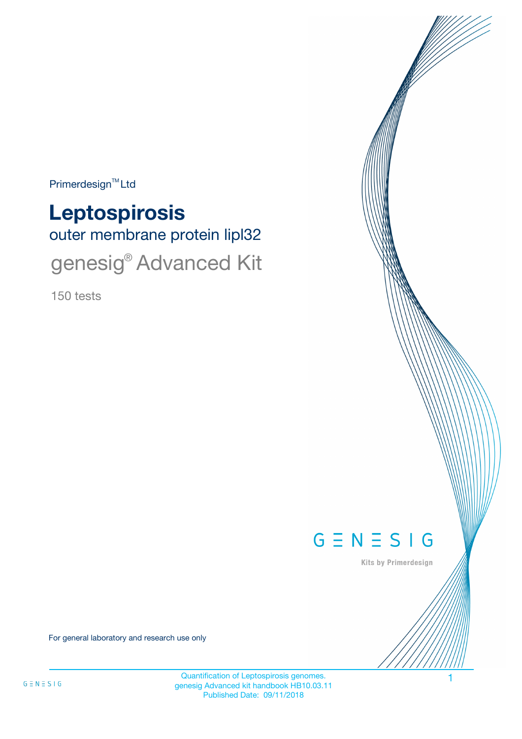Primerdesign<sup>™</sup>Ltd

outer membrane protein lipl32 **Leptospirosis** genesig® Advanced Kit

150 tests



Kits by Primerdesign

For general laboratory and research use only

Quantification of Leptospirosis genomes. 1 genesig Advanced kit handbook HB10.03.11 Published Date: 09/11/2018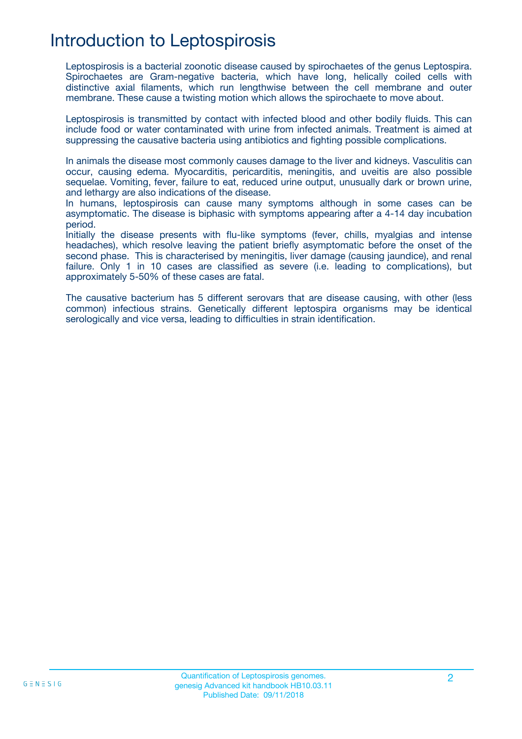## Introduction to Leptospirosis

Leptospirosis is a bacterial zoonotic disease caused by spirochaetes of the genus Leptospira. Spirochaetes are Gram-negative bacteria, which have long, helically coiled cells with distinctive axial filaments, which run lengthwise between the cell membrane and outer membrane. These cause a twisting motion which allows the spirochaete to move about.

Leptospirosis is transmitted by contact with infected blood and other bodily fluids. This can include food or water contaminated with urine from infected animals. Treatment is aimed at suppressing the causative bacteria using antibiotics and fighting possible complications.

In animals the disease most commonly causes damage to the liver and kidneys. Vasculitis can occur, causing edema. Myocarditis, pericarditis, meningitis, and uveitis are also possible sequelae. Vomiting, fever, failure to eat, reduced urine output, unusually dark or brown urine, and lethargy are also indications of the disease.

In humans, leptospirosis can cause many symptoms although in some cases can be asymptomatic. The disease is biphasic with symptoms appearing after a 4-14 day incubation period.

Initially the disease presents with flu-like symptoms (fever, chills, myalgias and intense headaches), which resolve leaving the patient briefly asymptomatic before the onset of the second phase. This is characterised by meningitis, liver damage (causing jaundice), and renal failure. Only 1 in 10 cases are classified as severe (i.e. leading to complications), but approximately 5-50% of these cases are fatal.

The causative bacterium has 5 different serovars that are disease causing, with other (less common) infectious strains. Genetically different leptospira organisms may be identical serologically and vice versa, leading to difficulties in strain identification.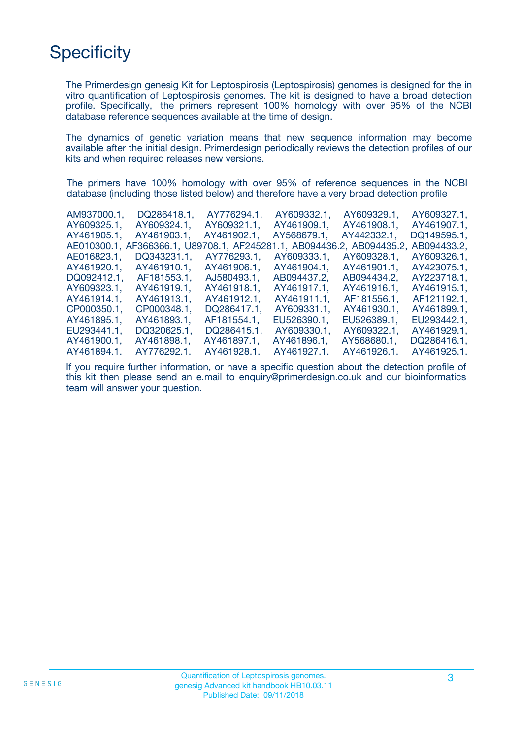# **Specificity**

The Primerdesign genesig Kit for Leptospirosis (Leptospirosis) genomes is designed for the in vitro quantification of Leptospirosis genomes. The kit is designed to have a broad detection profile. Specifically, the primers represent 100% homology with over 95% of the NCBI database reference sequences available at the time of design.

The dynamics of genetic variation means that new sequence information may become available after the initial design. Primerdesign periodically reviews the detection profiles of our kits and when required releases new versions.

The primers have 100% homology with over 95% of reference sequences in the NCBI database (including those listed below) and therefore have a very broad detection profile

| AM937000.1. | DQ286418.1.                                                           | AY776294.1. | AY609332.1. | AY609329.1. | AY609327.1. |
|-------------|-----------------------------------------------------------------------|-------------|-------------|-------------|-------------|
| AY609325.1. | AY609324.1.                                                           | AY609321.1. | AY461909.1. | AY461908.1. | AY461907.1. |
| AY461905.1. | AY461903.1.                                                           | AY461902.1. | AY568679.1. | AY442332.1. | DQ149595.1, |
|             | AE010300.1, AF366366.1, U89708.1, AF245281.1, AB094436.2, AB094435.2, |             |             |             | AB094433.2. |
| AE016823.1. | DQ343231.1.                                                           | AY776293.1. | AY609333.1. | AY609328.1. | AY609326.1. |
| AY461920.1. | AY461910.1.                                                           | AY461906.1. | AY461904.1. | AY461901.1. | AY423075.1. |
| DQ092412.1. | AF181553.1.                                                           | AJ580493.1. | AB094437.2. | AB094434.2. | AY223718.1. |
| AY609323.1. | AY461919.1.                                                           | AY461918.1. | AY461917.1, | AY461916.1. | AY461915.1. |
| AY461914.1. | AY461913.1.                                                           | AY461912.1. | AY461911.1. | AF181556.1. | AF121192.1. |
| CP000350.1. | CP000348.1.                                                           | DQ286417.1. | AY609331.1. | AY461930.1. | AY461899.1. |
| AY461895.1. | AY461893.1.                                                           | AF181554.1. | EU526390.1. | EU526389.1. | EU293442.1. |
| EU293441.1, | DQ320625.1.                                                           | DQ286415.1. | AY609330.1. | AY609322.1. | AY461929.1. |
| AY461900.1. | AY461898.1,                                                           | AY461897.1, | AY461896.1. | AY568680.1. | DQ286416.1. |
| AY461894.1. | AY776292.1.                                                           | AY461928.1. | AY461927.1. | AY461926.1  | AY461925.1. |
|             |                                                                       |             |             |             |             |

If you require further information, or have a specific question about the detection profile of this kit then please send an e.mail to enquiry@primerdesign.co.uk and our bioinformatics team will answer your question.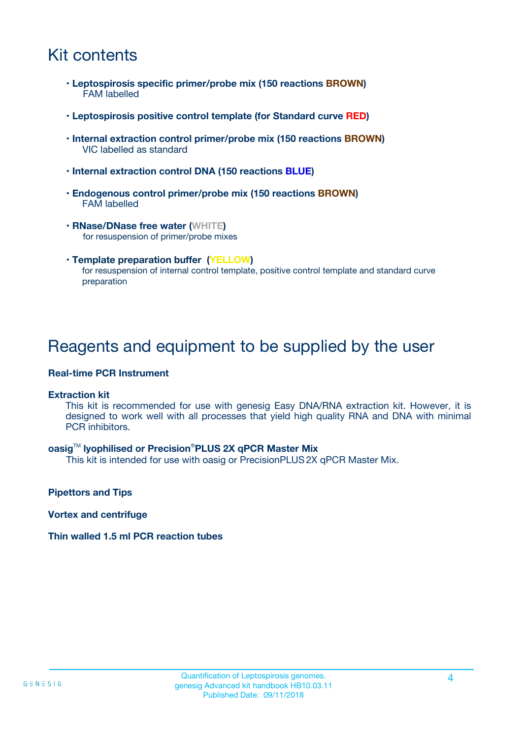## Kit contents

- **Leptospirosis specific primer/probe mix (150 reactions BROWN)** FAM labelled
- **Leptospirosis positive control template (for Standard curve RED)**
- **Internal extraction control primer/probe mix (150 reactions BROWN)** VIC labelled as standard
- **Internal extraction control DNA (150 reactions BLUE)**
- **Endogenous control primer/probe mix (150 reactions BROWN)** FAM labelled
- **RNase/DNase free water (WHITE)** for resuspension of primer/probe mixes
- **Template preparation buffer (YELLOW)** for resuspension of internal control template, positive control template and standard curve preparation

### Reagents and equipment to be supplied by the user

#### **Real-time PCR Instrument**

#### **Extraction kit**

This kit is recommended for use with genesig Easy DNA/RNA extraction kit. However, it is designed to work well with all processes that yield high quality RNA and DNA with minimal PCR inhibitors.

#### **oasig**TM **lyophilised or Precision**®**PLUS 2X qPCR Master Mix**

This kit is intended for use with oasig or PrecisionPLUS2X qPCR Master Mix.

**Pipettors and Tips**

**Vortex and centrifuge**

#### **Thin walled 1.5 ml PCR reaction tubes**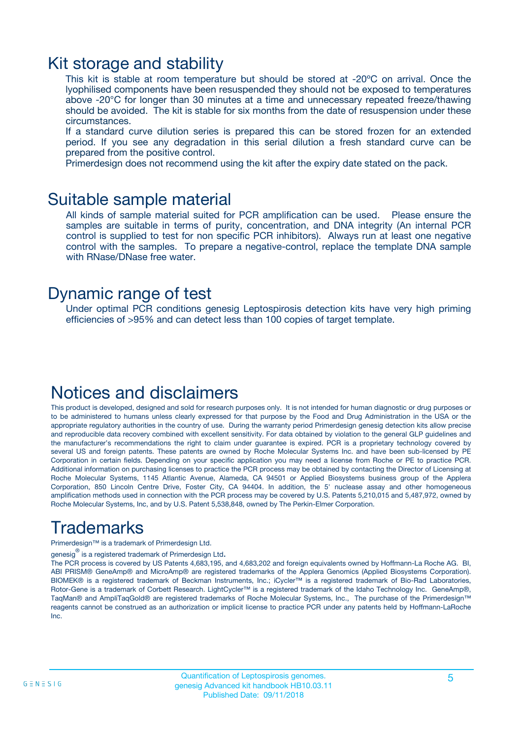### Kit storage and stability

This kit is stable at room temperature but should be stored at -20ºC on arrival. Once the lyophilised components have been resuspended they should not be exposed to temperatures above -20°C for longer than 30 minutes at a time and unnecessary repeated freeze/thawing should be avoided. The kit is stable for six months from the date of resuspension under these circumstances.

If a standard curve dilution series is prepared this can be stored frozen for an extended period. If you see any degradation in this serial dilution a fresh standard curve can be prepared from the positive control.

Primerdesign does not recommend using the kit after the expiry date stated on the pack.

### Suitable sample material

All kinds of sample material suited for PCR amplification can be used. Please ensure the samples are suitable in terms of purity, concentration, and DNA integrity (An internal PCR control is supplied to test for non specific PCR inhibitors). Always run at least one negative control with the samples. To prepare a negative-control, replace the template DNA sample with RNase/DNase free water.

### Dynamic range of test

Under optimal PCR conditions genesig Leptospirosis detection kits have very high priming efficiencies of >95% and can detect less than 100 copies of target template.

### Notices and disclaimers

This product is developed, designed and sold for research purposes only. It is not intended for human diagnostic or drug purposes or to be administered to humans unless clearly expressed for that purpose by the Food and Drug Administration in the USA or the appropriate regulatory authorities in the country of use. During the warranty period Primerdesign genesig detection kits allow precise and reproducible data recovery combined with excellent sensitivity. For data obtained by violation to the general GLP guidelines and the manufacturer's recommendations the right to claim under guarantee is expired. PCR is a proprietary technology covered by several US and foreign patents. These patents are owned by Roche Molecular Systems Inc. and have been sub-licensed by PE Corporation in certain fields. Depending on your specific application you may need a license from Roche or PE to practice PCR. Additional information on purchasing licenses to practice the PCR process may be obtained by contacting the Director of Licensing at Roche Molecular Systems, 1145 Atlantic Avenue, Alameda, CA 94501 or Applied Biosystems business group of the Applera Corporation, 850 Lincoln Centre Drive, Foster City, CA 94404. In addition, the 5' nuclease assay and other homogeneous amplification methods used in connection with the PCR process may be covered by U.S. Patents 5,210,015 and 5,487,972, owned by Roche Molecular Systems, Inc, and by U.S. Patent 5,538,848, owned by The Perkin-Elmer Corporation.

## Trademarks

Primerdesign™ is a trademark of Primerdesign Ltd.

genesig $^\circledR$  is a registered trademark of Primerdesign Ltd.

The PCR process is covered by US Patents 4,683,195, and 4,683,202 and foreign equivalents owned by Hoffmann-La Roche AG. BI, ABI PRISM® GeneAmp® and MicroAmp® are registered trademarks of the Applera Genomics (Applied Biosystems Corporation). BIOMEK® is a registered trademark of Beckman Instruments, Inc.; iCycler™ is a registered trademark of Bio-Rad Laboratories, Rotor-Gene is a trademark of Corbett Research. LightCycler™ is a registered trademark of the Idaho Technology Inc. GeneAmp®, TaqMan® and AmpliTaqGold® are registered trademarks of Roche Molecular Systems, Inc., The purchase of the Primerdesign™ reagents cannot be construed as an authorization or implicit license to practice PCR under any patents held by Hoffmann-LaRoche Inc.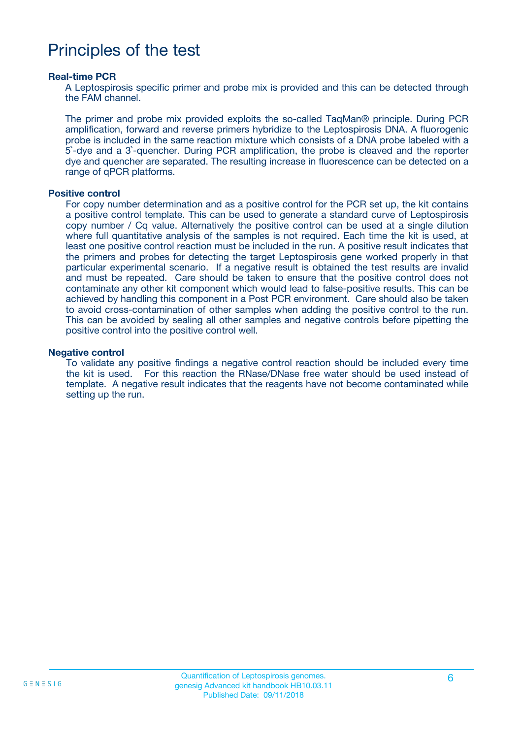## Principles of the test

#### **Real-time PCR**

A Leptospirosis specific primer and probe mix is provided and this can be detected through the FAM channel.

The primer and probe mix provided exploits the so-called TaqMan® principle. During PCR amplification, forward and reverse primers hybridize to the Leptospirosis DNA. A fluorogenic probe is included in the same reaction mixture which consists of a DNA probe labeled with a 5`-dye and a 3`-quencher. During PCR amplification, the probe is cleaved and the reporter dye and quencher are separated. The resulting increase in fluorescence can be detected on a range of qPCR platforms.

#### **Positive control**

For copy number determination and as a positive control for the PCR set up, the kit contains a positive control template. This can be used to generate a standard curve of Leptospirosis copy number / Cq value. Alternatively the positive control can be used at a single dilution where full quantitative analysis of the samples is not required. Each time the kit is used, at least one positive control reaction must be included in the run. A positive result indicates that the primers and probes for detecting the target Leptospirosis gene worked properly in that particular experimental scenario. If a negative result is obtained the test results are invalid and must be repeated. Care should be taken to ensure that the positive control does not contaminate any other kit component which would lead to false-positive results. This can be achieved by handling this component in a Post PCR environment. Care should also be taken to avoid cross-contamination of other samples when adding the positive control to the run. This can be avoided by sealing all other samples and negative controls before pipetting the positive control into the positive control well.

#### **Negative control**

To validate any positive findings a negative control reaction should be included every time the kit is used. For this reaction the RNase/DNase free water should be used instead of template. A negative result indicates that the reagents have not become contaminated while setting up the run.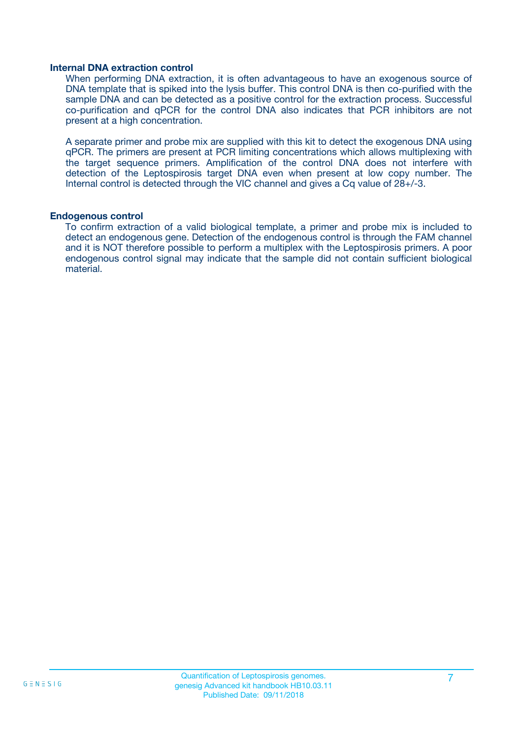#### **Internal DNA extraction control**

When performing DNA extraction, it is often advantageous to have an exogenous source of DNA template that is spiked into the lysis buffer. This control DNA is then co-purified with the sample DNA and can be detected as a positive control for the extraction process. Successful co-purification and qPCR for the control DNA also indicates that PCR inhibitors are not present at a high concentration.

A separate primer and probe mix are supplied with this kit to detect the exogenous DNA using qPCR. The primers are present at PCR limiting concentrations which allows multiplexing with the target sequence primers. Amplification of the control DNA does not interfere with detection of the Leptospirosis target DNA even when present at low copy number. The Internal control is detected through the VIC channel and gives a Cq value of 28+/-3.

#### **Endogenous control**

To confirm extraction of a valid biological template, a primer and probe mix is included to detect an endogenous gene. Detection of the endogenous control is through the FAM channel and it is NOT therefore possible to perform a multiplex with the Leptospirosis primers. A poor endogenous control signal may indicate that the sample did not contain sufficient biological material.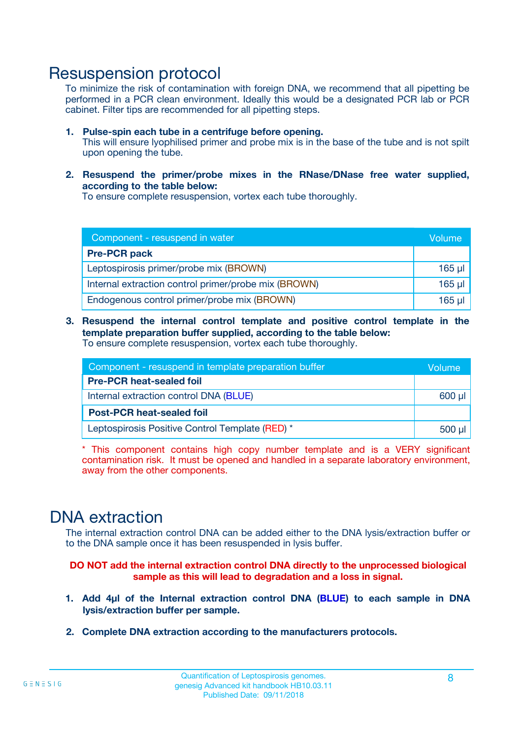### Resuspension protocol

To minimize the risk of contamination with foreign DNA, we recommend that all pipetting be performed in a PCR clean environment. Ideally this would be a designated PCR lab or PCR cabinet. Filter tips are recommended for all pipetting steps.

- **1. Pulse-spin each tube in a centrifuge before opening.** This will ensure lyophilised primer and probe mix is in the base of the tube and is not spilt upon opening the tube.
- **2. Resuspend the primer/probe mixes in the RNase/DNase free water supplied, according to the table below:**

To ensure complete resuspension, vortex each tube thoroughly.

| Component - resuspend in water                       |         |  |
|------------------------------------------------------|---------|--|
| <b>Pre-PCR pack</b>                                  |         |  |
| Leptospirosis primer/probe mix (BROWN)               | $165$ µ |  |
| Internal extraction control primer/probe mix (BROWN) |         |  |
| Endogenous control primer/probe mix (BROWN)          |         |  |

**3. Resuspend the internal control template and positive control template in the template preparation buffer supplied, according to the table below:** To ensure complete resuspension, vortex each tube thoroughly.

| Component - resuspend in template preparation buffer |  |  |
|------------------------------------------------------|--|--|
| <b>Pre-PCR heat-sealed foil</b>                      |  |  |
| Internal extraction control DNA (BLUE)               |  |  |
| <b>Post-PCR heat-sealed foil</b>                     |  |  |
| Leptospirosis Positive Control Template (RED) *      |  |  |

\* This component contains high copy number template and is a VERY significant contamination risk. It must be opened and handled in a separate laboratory environment, away from the other components.

### DNA extraction

The internal extraction control DNA can be added either to the DNA lysis/extraction buffer or to the DNA sample once it has been resuspended in lysis buffer.

**DO NOT add the internal extraction control DNA directly to the unprocessed biological sample as this will lead to degradation and a loss in signal.**

- **1. Add 4µl of the Internal extraction control DNA (BLUE) to each sample in DNA lysis/extraction buffer per sample.**
- **2. Complete DNA extraction according to the manufacturers protocols.**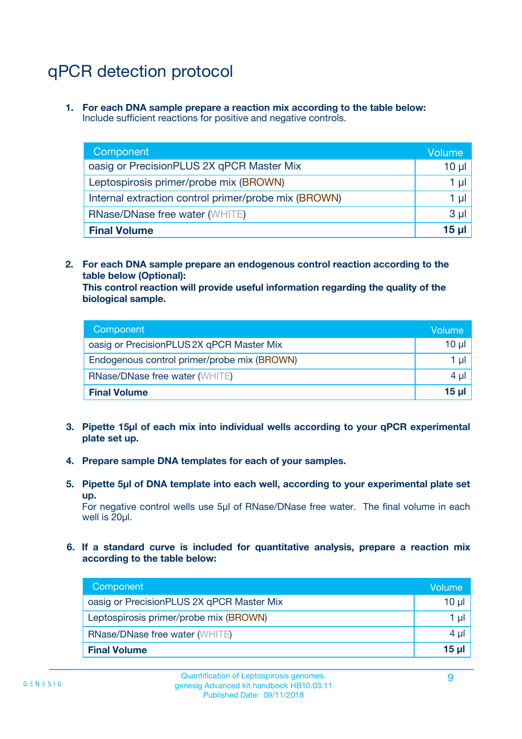# qPCR detection protocol

**1. For each DNA sample prepare a reaction mix according to the table below:** Include sufficient reactions for positive and negative controls.

| Component                                            | Volume   |  |
|------------------------------------------------------|----------|--|
| oasig or PrecisionPLUS 2X qPCR Master Mix            | $10 \mu$ |  |
| Leptospirosis primer/probe mix (BROWN)               | 1 µI l   |  |
| Internal extraction control primer/probe mix (BROWN) |          |  |
| <b>RNase/DNase free water (WHITE)</b>                | $3 \mu$  |  |
| <b>Final Volume</b>                                  |          |  |

**2. For each DNA sample prepare an endogenous control reaction according to the table below (Optional):**

**This control reaction will provide useful information regarding the quality of the biological sample.**

| Component                                   | Volume   |  |
|---------------------------------------------|----------|--|
| oasig or PrecisionPLUS 2X qPCR Master Mix   | $10 \mu$ |  |
| Endogenous control primer/probe mix (BROWN) |          |  |
| <b>RNase/DNase free water (WHITE)</b>       |          |  |
| <b>Final Volume</b>                         | 15 µl    |  |

- **3. Pipette 15µl of each mix into individual wells according to your qPCR experimental plate set up.**
- **4. Prepare sample DNA templates for each of your samples.**
- **5. Pipette 5µl of DNA template into each well, according to your experimental plate set up.**

For negative control wells use 5µl of RNase/DNase free water. The final volume in each well is 20ul.

**6. If a standard curve is included for quantitative analysis, prepare a reaction mix according to the table below:**

| Component                                 | Volume |  |
|-------------------------------------------|--------|--|
| oasig or PrecisionPLUS 2X qPCR Master Mix | 10 µl  |  |
| Leptospirosis primer/probe mix (BROWN)    |        |  |
| <b>RNase/DNase free water (WHITE)</b>     |        |  |
| <b>Final Volume</b>                       |        |  |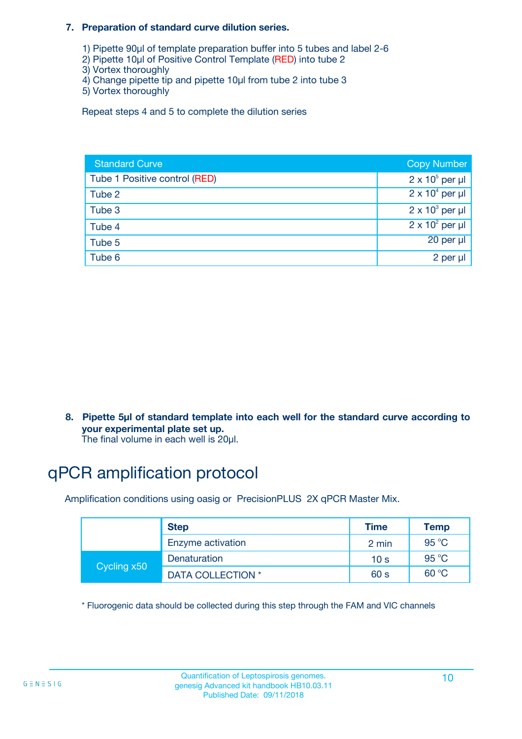#### **7. Preparation of standard curve dilution series.**

- 1) Pipette 90µl of template preparation buffer into 5 tubes and label 2-6
- 2) Pipette 10µl of Positive Control Template (RED) into tube 2
- 3) Vortex thoroughly
- 4) Change pipette tip and pipette 10µl from tube 2 into tube 3
- 5) Vortex thoroughly

Repeat steps 4 and 5 to complete the dilution series

| <b>Standard Curve</b>         | <b>Copy Number</b>     |
|-------------------------------|------------------------|
| Tube 1 Positive control (RED) | $2 \times 10^5$ per µl |
| Tube 2                        | $2 \times 10^4$ per µl |
| Tube 3                        | $2 \times 10^3$ per µl |
| Tube 4                        | $2 \times 10^2$ per µl |
| Tube 5                        | 20 per µl              |
| Tube 6                        | 2 per µl               |

**8. Pipette 5µl of standard template into each well for the standard curve according to your experimental plate set up.**

#### The final volume in each well is 20µl.

## qPCR amplification protocol

Amplification conditions using oasig or PrecisionPLUS 2X qPCR Master Mix.

|             | <b>Step</b>       | <b>Time</b>     | Temp    |
|-------------|-------------------|-----------------|---------|
|             | Enzyme activation | 2 min           | 95 °C   |
| Cycling x50 | Denaturation      | 10 <sub>s</sub> | 95 $°C$ |
|             | DATA COLLECTION * | 60 s            | 60 °C   |

\* Fluorogenic data should be collected during this step through the FAM and VIC channels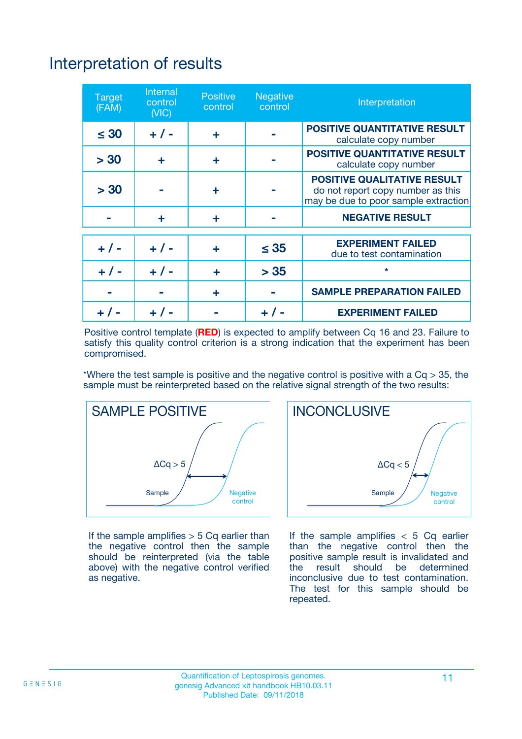# Interpretation of results

| <b>Target</b><br>(FAM) | Internal<br>control<br>(NIC) | <b>Positive</b><br>control | Negative<br>control | Interpretation                                                                                                  |
|------------------------|------------------------------|----------------------------|---------------------|-----------------------------------------------------------------------------------------------------------------|
| $\leq 30$              | $+ 1 -$                      | ÷                          |                     | <b>POSITIVE QUANTITATIVE RESULT</b><br>calculate copy number                                                    |
| > 30                   | ÷                            | ÷                          |                     | <b>POSITIVE QUANTITATIVE RESULT</b><br>calculate copy number                                                    |
| > 30                   |                              | ÷                          |                     | <b>POSITIVE QUALITATIVE RESULT</b><br>do not report copy number as this<br>may be due to poor sample extraction |
|                        | ÷                            | ÷                          |                     | <b>NEGATIVE RESULT</b>                                                                                          |
|                        |                              |                            |                     | <b>EXPERIMENT FAILED</b>                                                                                        |
| $+ 1 -$                | $+ 1 -$                      | ÷                          | $\leq 35$           | due to test contamination                                                                                       |
| $+ 1 -$                | $+ 1 -$                      | ÷                          | > 35                | $\star$                                                                                                         |
|                        |                              | ÷                          |                     | <b>SAMPLE PREPARATION FAILED</b>                                                                                |
|                        |                              |                            |                     | <b>EXPERIMENT FAILED</b>                                                                                        |

Positive control template (**RED**) is expected to amplify between Cq 16 and 23. Failure to satisfy this quality control criterion is a strong indication that the experiment has been compromised.

\*Where the test sample is positive and the negative control is positive with a  $Ca > 35$ , the sample must be reinterpreted based on the relative signal strength of the two results:



If the sample amplifies  $> 5$  Cq earlier than the negative control then the sample should be reinterpreted (via the table above) with the negative control verified as negative.



If the sample amplifies  $< 5$  Cq earlier than the negative control then the positive sample result is invalidated and<br>the result should be determined  $the$  result should be inconclusive due to test contamination. The test for this sample should be repeated.